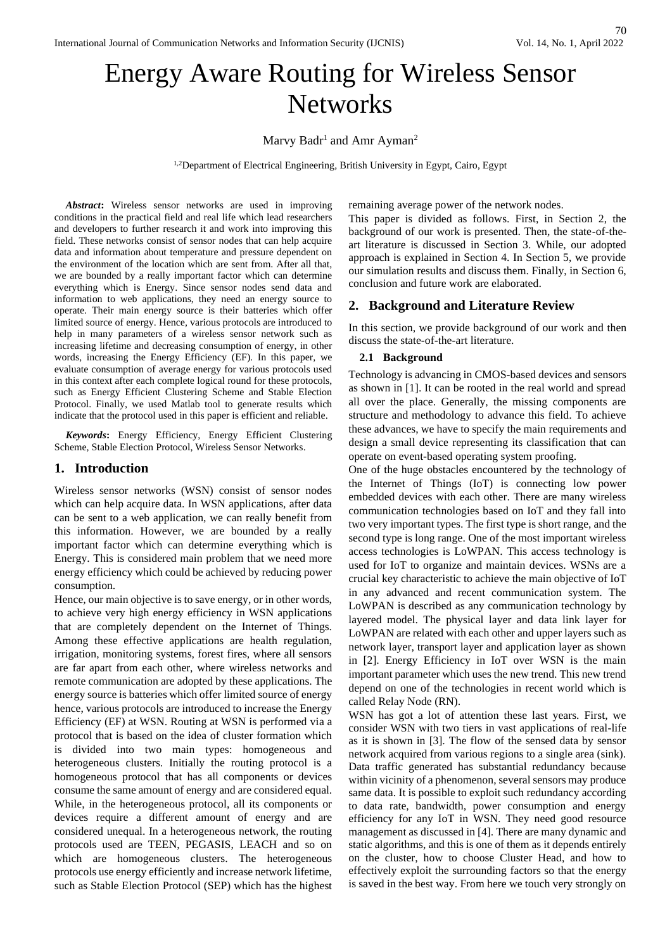# Energy Aware Routing for Wireless Sensor **Networks**

Marvy  $Badr<sup>1</sup>$  and Amr Ayman $<sup>2</sup>$ </sup>

<sup>1,2</sup>Department of Electrical Engineering, British University in Egypt, Cairo, Egypt

*Abstract***:** Wireless sensor networks are used in improving conditions in the practical field and real life which lead researchers and developers to further research it and work into improving this field. These networks consist of sensor nodes that can help acquire data and information about temperature and pressure dependent on the environment of the location which are sent from. After all that, we are bounded by a really important factor which can determine everything which is Energy. Since sensor nodes send data and information to web applications, they need an energy source to operate. Their main energy source is their batteries which offer limited source of energy. Hence, various protocols are introduced to help in many parameters of a wireless sensor network such as increasing lifetime and decreasing consumption of energy, in other words, increasing the Energy Efficiency (EF). In this paper, we evaluate consumption of average energy for various protocols used in this context after each complete logical round for these protocols, such as Energy Efficient Clustering Scheme and Stable Election Protocol. Finally, we used Matlab tool to generate results which indicate that the protocol used in this paper is efficient and reliable.

*Keywords***:** Energy Efficiency, Energy Efficient Clustering Scheme, Stable Election Protocol, Wireless Sensor Networks.

## **1. Introduction**

Wireless sensor networks (WSN) consist of sensor nodes which can help acquire data. In WSN applications, after data can be sent to a web application, we can really benefit from this information. However, we are bounded by a really important factor which can determine everything which is Energy. This is considered main problem that we need more energy efficiency which could be achieved by reducing power consumption.

Hence, our main objective is to save energy, or in other words, to achieve very high energy efficiency in WSN applications that are completely dependent on the Internet of Things. Among these effective applications are health regulation, irrigation, monitoring systems, forest fires, where all sensors are far apart from each other, where wireless networks and remote communication are adopted by these applications. The energy source is batteries which offer limited source of energy hence, various protocols are introduced to increase the Energy Efficiency (EF) at WSN. Routing at WSN is performed via a protocol that is based on the idea of cluster formation which is divided into two main types: homogeneous and heterogeneous clusters. Initially the routing protocol is a homogeneous protocol that has all components or devices consume the same amount of energy and are considered equal. While, in the heterogeneous protocol, all its components or devices require a different amount of energy and are considered unequal. In a heterogeneous network, the routing protocols used are TEEN, PEGASIS, LEACH and so on which are homogeneous clusters. The heterogeneous protocols use energy efficiently and increase network lifetime, such as Stable Election Protocol (SEP) which has the highest remaining average power of the network nodes.

This paper is divided as follows. First, in Section 2, the background of our work is presented. Then, the state-of-theart literature is discussed in Section 3. While, our adopted approach is explained in Section 4. In Section 5, we provide our simulation results and discuss them. Finally, in Section 6, conclusion and future work are elaborated.

## **2. Background and Literature Review**

In this section, we provide background of our work and then discuss the state-of-the-art literature.

#### **2.1 Background**

Technology is advancing in CMOS-based devices and sensors as shown in [1]. It can be rooted in the real world and spread all over the place. Generally, the missing components are structure and methodology to advance this field. To achieve these advances, we have to specify the main requirements and design a small device representing its classification that can operate on event-based operating system proofing.

One of the huge obstacles encountered by the technology of the Internet of Things (IoT) is connecting low power embedded devices with each other. There are many wireless communication technologies based on IoT and they fall into two very important types. The first type is short range, and the second type is long range. One of the most important wireless access technologies is LoWPAN. This access technology is used for IoT to organize and maintain devices. WSNs are a crucial key characteristic to achieve the main objective of IoT in any advanced and recent communication system. The LoWPAN is described as any communication technology by layered model. The physical layer and data link layer for LoWPAN are related with each other and upper layers such as network layer, transport layer and application layer as shown in [2]. Energy Efficiency in IoT over WSN is the main important parameter which uses the new trend. This new trend depend on one of the technologies in recent world which is called Relay Node (RN).

WSN has got a lot of attention these last years. First, we consider WSN with two tiers in vast applications of real-life as it is shown in [3]. The flow of the sensed data by sensor network acquired from various regions to a single area (sink). Data traffic generated has substantial redundancy because within vicinity of a phenomenon, several sensors may produce same data. It is possible to exploit such redundancy according to data rate, bandwidth, power consumption and energy efficiency for any IoT in WSN. They need good resource management as discussed in [4]. There are many dynamic and static algorithms, and this is one of them as it depends entirely on the cluster, how to choose Cluster Head, and how to effectively exploit the surrounding factors so that the energy is saved in the best way. From here we touch very strongly on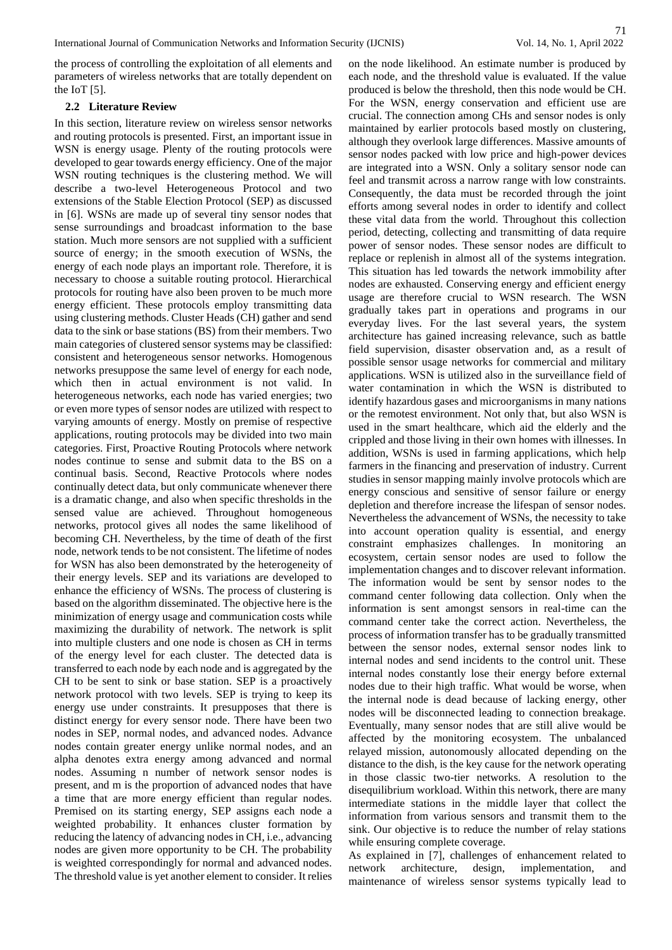the process of controlling the exploitation of all elements and parameters of wireless networks that are totally dependent on the IoT [5].

## **2.2 Literature Review**

In this section, literature review on wireless sensor networks and routing protocols is presented. First, an important issue in WSN is energy usage. Plenty of the routing protocols were developed to gear towards energy efficiency. One of the major WSN routing techniques is the clustering method. We will describe a two-level Heterogeneous Protocol and two extensions of the Stable Election Protocol (SEP) as discussed in [6]. WSNs are made up of several tiny sensor nodes that sense surroundings and broadcast information to the base station. Much more sensors are not supplied with a sufficient source of energy; in the smooth execution of WSNs, the energy of each node plays an important role. Therefore, it is necessary to choose a suitable routing protocol. Hierarchical protocols for routing have also been proven to be much more energy efficient. These protocols employ transmitting data using clustering methods. Cluster Heads (CH) gather and send data to the sink or base stations (BS) from their members. Two main categories of clustered sensor systems may be classified: consistent and heterogeneous sensor networks. Homogenous networks presuppose the same level of energy for each node, which then in actual environment is not valid. In heterogeneous networks, each node has varied energies; two or even more types of sensor nodes are utilized with respect to varying amounts of energy. Mostly on premise of respective applications, routing protocols may be divided into two main categories. First, Proactive Routing Protocols where network nodes continue to sense and submit data to the BS on a continual basis. Second, Reactive Protocols where nodes continually detect data, but only communicate whenever there is a dramatic change, and also when specific thresholds in the sensed value are achieved. Throughout homogeneous networks, protocol gives all nodes the same likelihood of becoming CH. Nevertheless, by the time of death of the first node, network tends to be not consistent. The lifetime of nodes for WSN has also been demonstrated by the heterogeneity of their energy levels. SEP and its variations are developed to enhance the efficiency of WSNs. The process of clustering is based on the algorithm disseminated. The objective here is the minimization of energy usage and communication costs while maximizing the durability of network. The network is split into multiple clusters and one node is chosen as CH in terms of the energy level for each cluster. The detected data is transferred to each node by each node and is aggregated by the CH to be sent to sink or base station. SEP is a proactively network protocol with two levels. SEP is trying to keep its energy use under constraints. It presupposes that there is distinct energy for every sensor node. There have been two nodes in SEP, normal nodes, and advanced nodes. Advance nodes contain greater energy unlike normal nodes, and an alpha denotes extra energy among advanced and normal nodes. Assuming n number of network sensor nodes is present, and m is the proportion of advanced nodes that have a time that are more energy efficient than regular nodes. Premised on its starting energy, SEP assigns each node a weighted probability. It enhances cluster formation by reducing the latency of advancing nodes in CH, i.e., advancing nodes are given more opportunity to be CH. The probability is weighted correspondingly for normal and advanced nodes. The threshold value is yet another element to consider. It relies

on the node likelihood. An estimate number is produced by each node, and the threshold value is evaluated. If the value produced is below the threshold, then this node would be CH. For the WSN, energy conservation and efficient use are crucial. The connection among CHs and sensor nodes is only maintained by earlier protocols based mostly on clustering, although they overlook large differences. Massive amounts of sensor nodes packed with low price and high-power devices are integrated into a WSN. Only a solitary sensor node can feel and transmit across a narrow range with low constraints. Consequently, the data must be recorded through the joint efforts among several nodes in order to identify and collect these vital data from the world. Throughout this collection period, detecting, collecting and transmitting of data require power of sensor nodes. These sensor nodes are difficult to replace or replenish in almost all of the systems integration. This situation has led towards the network immobility after nodes are exhausted. Conserving energy and efficient energy usage are therefore crucial to WSN research. The WSN gradually takes part in operations and programs in our everyday lives. For the last several years, the system architecture has gained increasing relevance, such as battle field supervision, disaster observation and, as a result of possible sensor usage networks for commercial and military applications. WSN is utilized also in the surveillance field of water contamination in which the WSN is distributed to identify hazardous gases and microorganisms in many nations or the remotest environment. Not only that, but also WSN is used in the smart healthcare, which aid the elderly and the crippled and those living in their own homes with illnesses. In addition, WSNs is used in farming applications, which help farmers in the financing and preservation of industry. Current studies in sensor mapping mainly involve protocols which are energy conscious and sensitive of sensor failure or energy depletion and therefore increase the lifespan of sensor nodes. Nevertheless the advancement of WSNs, the necessity to take into account operation quality is essential, and energy constraint emphasizes challenges. In monitoring an ecosystem, certain sensor nodes are used to follow the implementation changes and to discover relevant information. The information would be sent by sensor nodes to the command center following data collection. Only when the information is sent amongst sensors in real-time can the command center take the correct action. Nevertheless, the process of information transfer has to be gradually transmitted between the sensor nodes, external sensor nodes link to internal nodes and send incidents to the control unit. These internal nodes constantly lose their energy before external nodes due to their high traffic. What would be worse, when the internal node is dead because of lacking energy, other nodes will be disconnected leading to connection breakage. Eventually, many sensor nodes that are still alive would be affected by the monitoring ecosystem. The unbalanced relayed mission, autonomously allocated depending on the distance to the dish, is the key cause for the network operating in those classic two-tier networks. A resolution to the disequilibrium workload. Within this network, there are many intermediate stations in the middle layer that collect the information from various sensors and transmit them to the sink. Our objective is to reduce the number of relay stations while ensuring complete coverage.

As explained in [7], challenges of enhancement related to network architecture, design, implementation, and maintenance of wireless sensor systems typically lead to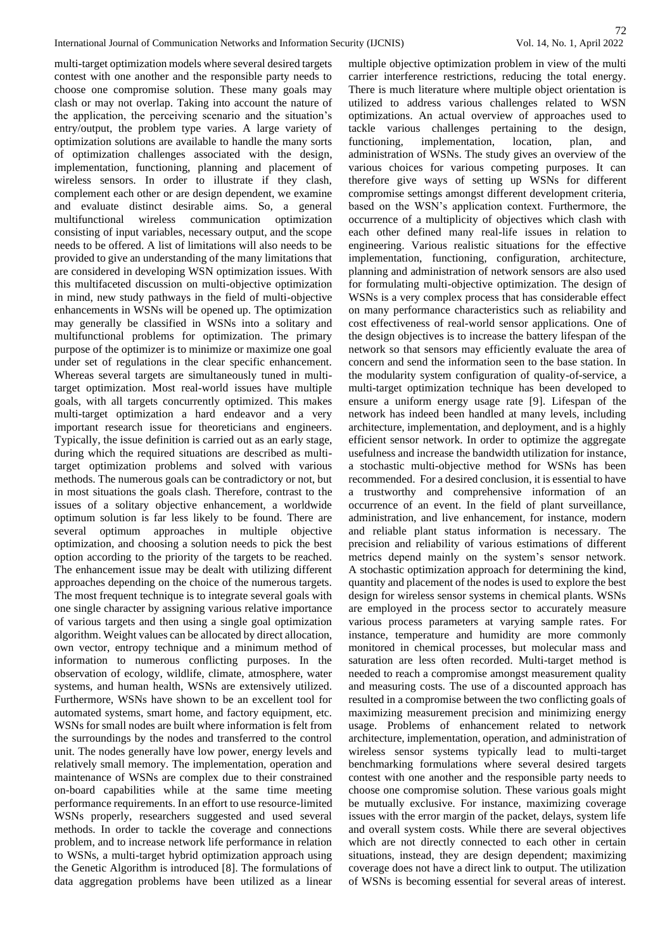multi-target optimization models where several desired targets contest with one another and the responsible party needs to choose one compromise solution. These many goals may clash or may not overlap. Taking into account the nature of the application, the perceiving scenario and the situation's entry/output, the problem type varies. A large variety of optimization solutions are available to handle the many sorts of optimization challenges associated with the design, implementation, functioning, planning and placement of wireless sensors. In order to illustrate if they clash, complement each other or are design dependent, we examine and evaluate distinct desirable aims. So, a general multifunctional wireless communication optimization consisting of input variables, necessary output, and the scope needs to be offered. A list of limitations will also needs to be provided to give an understanding of the many limitations that are considered in developing WSN optimization issues. With this multifaceted discussion on multi-objective optimization in mind, new study pathways in the field of multi-objective enhancements in WSNs will be opened up. The optimization may generally be classified in WSNs into a solitary and multifunctional problems for optimization. The primary purpose of the optimizer is to minimize or maximize one goal under set of regulations in the clear specific enhancement. Whereas several targets are simultaneously tuned in multitarget optimization. Most real-world issues have multiple goals, with all targets concurrently optimized. This makes multi-target optimization a hard endeavor and a very important research issue for theoreticians and engineers. Typically, the issue definition is carried out as an early stage, during which the required situations are described as multitarget optimization problems and solved with various methods. The numerous goals can be contradictory or not, but in most situations the goals clash. Therefore, contrast to the issues of a solitary objective enhancement, a worldwide optimum solution is far less likely to be found. There are several optimum approaches in multiple objective optimization, and choosing a solution needs to pick the best option according to the priority of the targets to be reached. The enhancement issue may be dealt with utilizing different approaches depending on the choice of the numerous targets. The most frequent technique is to integrate several goals with one single character by assigning various relative importance of various targets and then using a single goal optimization algorithm. Weight values can be allocated by direct allocation, own vector, entropy technique and a minimum method of information to numerous conflicting purposes. In the observation of ecology, wildlife, climate, atmosphere, water systems, and human health, WSNs are extensively utilized. Furthermore, WSNs have shown to be an excellent tool for automated systems, smart home, and factory equipment, etc. WSNs for small nodes are built where information is felt from the surroundings by the nodes and transferred to the control unit. The nodes generally have low power, energy levels and relatively small memory. The implementation, operation and maintenance of WSNs are complex due to their constrained on-board capabilities while at the same time meeting performance requirements. In an effort to use resource-limited WSNs properly, researchers suggested and used several methods. In order to tackle the coverage and connections problem, and to increase network life performance in relation to WSNs, a multi-target hybrid optimization approach using the Genetic Algorithm is introduced [8]. The formulations of data aggregation problems have been utilized as a linear multiple objective optimization problem in view of the multi carrier interference restrictions, reducing the total energy. There is much literature where multiple object orientation is utilized to address various challenges related to WSN optimizations. An actual overview of approaches used to tackle various challenges pertaining to the design, functioning, implementation, location, plan, and administration of WSNs. The study gives an overview of the various choices for various competing purposes. It can therefore give ways of setting up WSNs for different compromise settings amongst different development criteria, based on the WSN's application context. Furthermore, the occurrence of a multiplicity of objectives which clash with each other defined many real-life issues in relation to engineering. Various realistic situations for the effective implementation, functioning, configuration, architecture, planning and administration of network sensors are also used for formulating multi-objective optimization. The design of WSNs is a very complex process that has considerable effect on many performance characteristics such as reliability and cost effectiveness of real-world sensor applications. One of the design objectives is to increase the battery lifespan of the network so that sensors may efficiently evaluate the area of concern and send the information seen to the base station. In the modularity system configuration of quality-of-service, a multi-target optimization technique has been developed to ensure a uniform energy usage rate [9]. Lifespan of the network has indeed been handled at many levels, including architecture, implementation, and deployment, and is a highly efficient sensor network. In order to optimize the aggregate usefulness and increase the bandwidth utilization for instance, a stochastic multi-objective method for WSNs has been recommended. For a desired conclusion, it is essential to have a trustworthy and comprehensive information of an occurrence of an event. In the field of plant surveillance, administration, and live enhancement, for instance, modern and reliable plant status information is necessary. The precision and reliability of various estimations of different metrics depend mainly on the system's sensor network. A stochastic optimization approach for determining the kind, quantity and placement of the nodes is used to explore the best design for wireless sensor systems in chemical plants. WSNs are employed in the process sector to accurately measure various process parameters at varying sample rates. For instance, temperature and humidity are more commonly monitored in chemical processes, but molecular mass and saturation are less often recorded. Multi-target method is needed to reach a compromise amongst measurement quality and measuring costs. The use of a discounted approach has resulted in a compromise between the two conflicting goals of maximizing measurement precision and minimizing energy usage. Problems of enhancement related to network architecture, implementation, operation, and administration of wireless sensor systems typically lead to multi-target benchmarking formulations where several desired targets contest with one another and the responsible party needs to choose one compromise solution. These various goals might be mutually exclusive. For instance, maximizing coverage issues with the error margin of the packet, delays, system life and overall system costs. While there are several objectives which are not directly connected to each other in certain situations, instead, they are design dependent; maximizing coverage does not have a direct link to output. The utilization of WSNs is becoming essential for several areas of interest.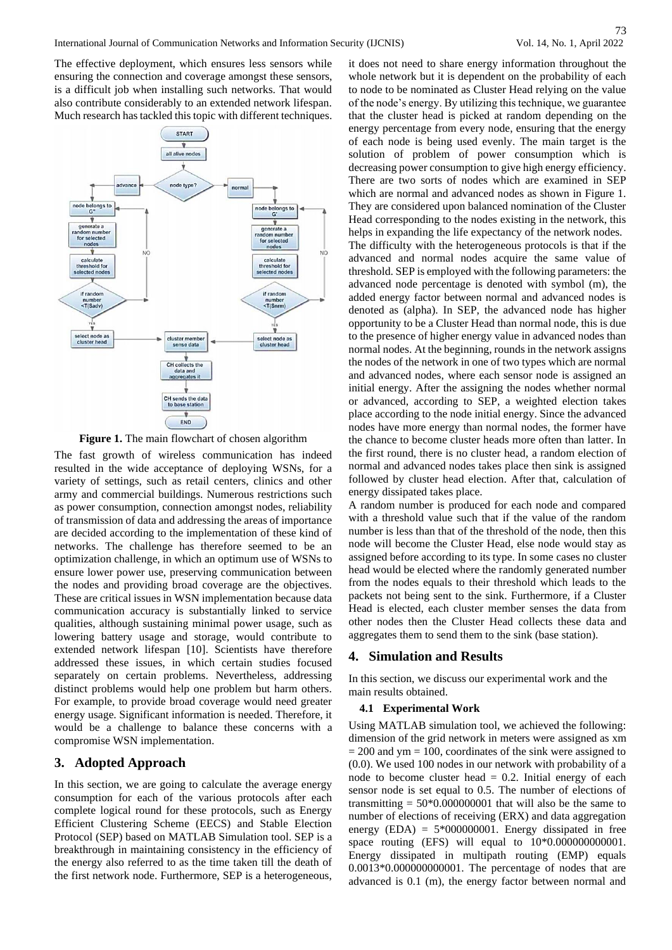73

The effective deployment, which ensures less sensors while ensuring the connection and coverage amongst these sensors, is a difficult job when installing such networks. That would also contribute considerably to an extended network lifespan. Much research has tackled this topic with different techniques.



**Figure 1.** The main flowchart of chosen algorithm

The fast growth of wireless communication has indeed resulted in the wide acceptance of deploying WSNs, for a variety of settings, such as retail centers, clinics and other army and commercial buildings. Numerous restrictions such as power consumption, connection amongst nodes, reliability of transmission of data and addressing the areas of importance are decided according to the implementation of these kind of networks. The challenge has therefore seemed to be an optimization challenge, in which an optimum use of WSNs to ensure lower power use, preserving communication between the nodes and providing broad coverage are the objectives. These are critical issues in WSN implementation because data communication accuracy is substantially linked to service qualities, although sustaining minimal power usage, such as lowering battery usage and storage, would contribute to extended network lifespan [10]. Scientists have therefore addressed these issues, in which certain studies focused separately on certain problems. Nevertheless, addressing distinct problems would help one problem but harm others. For example, to provide broad coverage would need greater energy usage. Significant information is needed. Therefore, it would be a challenge to balance these concerns with a compromise WSN implementation.

# **3. Adopted Approach**

In this section, we are going to calculate the average energy consumption for each of the various protocols after each complete logical round for these protocols, such as Energy Efficient Clustering Scheme (EECS) and Stable Election Protocol (SEP) based on MATLAB Simulation tool. SEP is a breakthrough in maintaining consistency in the efficiency of the energy also referred to as the time taken till the death of the first network node. Furthermore, SEP is a heterogeneous,

it does not need to share energy information throughout the whole network but it is dependent on the probability of each to node to be nominated as Cluster Head relying on the value of the node's energy. By utilizing this technique, we guarantee that the cluster head is picked at random depending on the energy percentage from every node, ensuring that the energy of each node is being used evenly. The main target is the solution of problem of power consumption which is decreasing power consumption to give high energy efficiency. There are two sorts of nodes which are examined in SEP which are normal and advanced nodes as shown in Figure 1. They are considered upon balanced nomination of the Cluster Head corresponding to the nodes existing in the network, this helps in expanding the life expectancy of the network nodes. The difficulty with the heterogeneous protocols is that if the advanced and normal nodes acquire the same value of threshold. SEP is employed with the following parameters: the advanced node percentage is denoted with symbol (m), the added energy factor between normal and advanced nodes is denoted as (alpha). In SEP, the advanced node has higher opportunity to be a Cluster Head than normal node, this is due to the presence of higher energy value in advanced nodes than normal nodes. At the beginning, rounds in the network assigns the nodes of the network in one of two types which are normal and advanced nodes, where each sensor node is assigned an initial energy. After the assigning the nodes whether normal or advanced, according to SEP, a weighted election takes place according to the node initial energy. Since the advanced nodes have more energy than normal nodes, the former have the chance to become cluster heads more often than latter. In the first round, there is no cluster head, a random election of normal and advanced nodes takes place then sink is assigned followed by cluster head election. After that, calculation of energy dissipated takes place.

A random number is produced for each node and compared with a threshold value such that if the value of the random number is less than that of the threshold of the node, then this node will become the Cluster Head, else node would stay as assigned before according to its type. In some cases no cluster head would be elected where the randomly generated number from the nodes equals to their threshold which leads to the packets not being sent to the sink. Furthermore, if a Cluster Head is elected, each cluster member senses the data from other nodes then the Cluster Head collects these data and aggregates them to send them to the sink (base station).

# **4. Simulation and Results**

In this section, we discuss our experimental work and the main results obtained.

## **4.1 Experimental Work**

Using MATLAB simulation tool, we achieved the following: dimension of the grid network in meters were assigned as xm  $= 200$  and ym  $= 100$ , coordinates of the sink were assigned to (0.0). We used 100 nodes in our network with probability of a node to become cluster head  $= 0.2$ . Initial energy of each sensor node is set equal to 0.5. The number of elections of transmitting  $= 50*0.000000001$  that will also be the same to number of elections of receiving (ERX) and data aggregation energy  $(EDA) = 5*000000001$ . Energy dissipated in free space routing (EFS) will equal to 10\*0.000000000001. Energy dissipated in multipath routing (EMP) equals 0.0013\*0.000000000001. The percentage of nodes that are advanced is 0.1 (m), the energy factor between normal and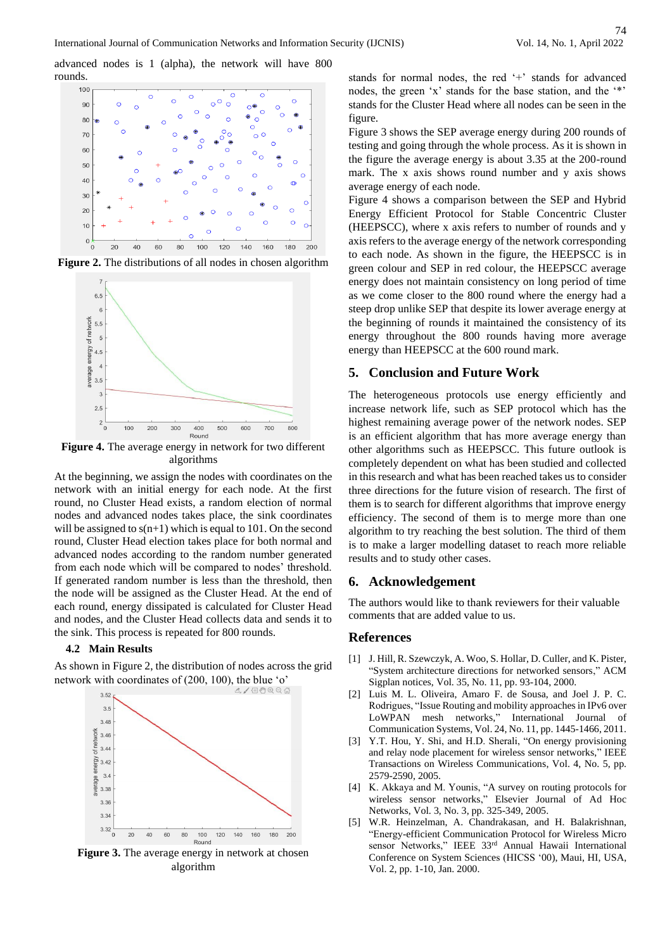advanced nodes is 1 (alpha), the network will have 800 rounds.



**Figure 2.** The distributions of all nodes in chosen algorithm



**Figure 4.** The average energy in network for two different algorithms

At the beginning, we assign the nodes with coordinates on the network with an initial energy for each node. At the first round, no Cluster Head exists, a random election of normal nodes and advanced nodes takes place, the sink coordinates will be assigned to  $s(n+1)$  which is equal to 101. On the second round, Cluster Head election takes place for both normal and advanced nodes according to the random number generated from each node which will be compared to nodes' threshold. If generated random number is less than the threshold, then the node will be assigned as the Cluster Head. At the end of each round, energy dissipated is calculated for Cluster Head and nodes, and the Cluster Head collects data and sends it to the sink. This process is repeated for 800 rounds.

#### **4.2 Main Results**

As shown in Figure 2, the distribution of nodes across the grid network with coordinates of (200, 100), the blue 'o'



**Figure 3.** The average energy in network at chosen algorithm

stands for normal nodes, the red '+' stands for advanced nodes, the green 'x' stands for the base station, and the '\*' stands for the Cluster Head where all nodes can be seen in the figure.

Figure 3 shows the SEP average energy during 200 rounds of testing and going through the whole process. As it is shown in the figure the average energy is about 3.35 at the 200-round mark. The x axis shows round number and y axis shows average energy of each node.

Figure 4 shows a comparison between the SEP and Hybrid Energy Efficient Protocol for Stable Concentric Cluster (HEEPSCC), where x axis refers to number of rounds and y axis refers to the average energy of the network corresponding to each node. As shown in the figure, the HEEPSCC is in green colour and SEP in red colour, the HEEPSCC average energy does not maintain consistency on long period of time as we come closer to the 800 round where the energy had a steep drop unlike SEP that despite its lower average energy at the beginning of rounds it maintained the consistency of its energy throughout the 800 rounds having more average energy than HEEPSCC at the 600 round mark.

## **5. Conclusion and Future Work**

The heterogeneous protocols use energy efficiently and increase network life, such as SEP protocol which has the highest remaining average power of the network nodes. SEP is an efficient algorithm that has more average energy than other algorithms such as HEEPSCC. This future outlook is completely dependent on what has been studied and collected in this research and what has been reached takes us to consider three directions for the future vision of research. The first of them is to search for different algorithms that improve energy efficiency. The second of them is to merge more than one algorithm to try reaching the best solution. The third of them is to make a larger modelling dataset to reach more reliable results and to study other cases.

## **6. Acknowledgement**

The authors would like to thank reviewers for their valuable comments that are added value to us.

## **References**

- [1] J. Hill, R. Szewczyk, A. Woo, S. Hollar, D. Culler, and K. Pister, "System architecture directions for networked sensors," ACM Sigplan notices, Vol. 35, No. 11, pp. 93-104, 2000.
- [2] Luis M. L. Oliveira, Amaro F. de Sousa, and Joel J. P. C. Rodrigues, "Issue Routing and mobility approaches in IPv6 over LoWPAN mesh networks," International Journal of Communication Systems, Vol. 24, No. 11, pp. 1445-1466, 2011.
- [3] Y.T. Hou, Y. Shi, and H.D. Sherali, "On energy provisioning and relay node placement for wireless sensor networks," IEEE Transactions on Wireless Communications, Vol. 4, No. 5, pp. 2579-2590, 2005.
- [4] K. Akkaya and M. Younis, "A survey on routing protocols for wireless sensor networks," Elsevier Journal of Ad Hoc Networks, Vol. 3, No. 3, pp. 325-349, 2005.
- [5] W.R. Heinzelman, A. Chandrakasan, and H. Balakrishnan, "Energy-efficient Communication Protocol for Wireless Micro sensor Networks," IEEE 33rd Annual Hawaii International Conference on System Sciences (HICSS '00), Maui, HI, USA, Vol. 2, pp. 1-10, Jan. 2000.